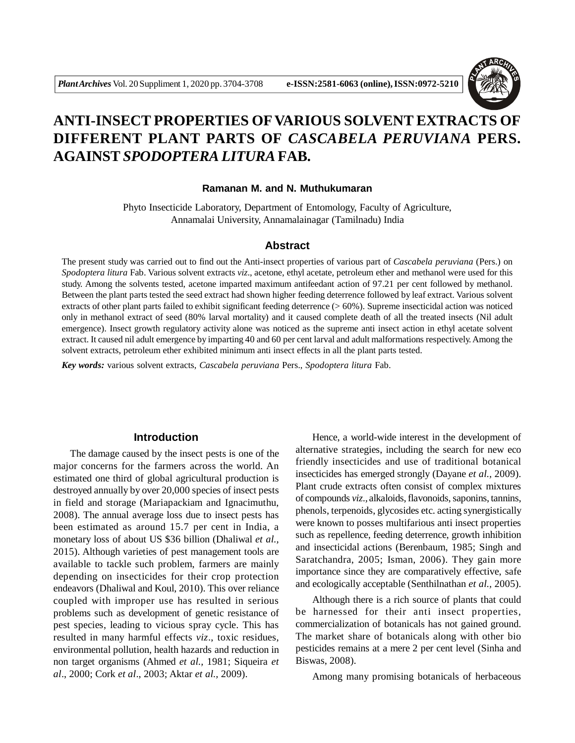

# **ANTI-INSECT PROPERTIES OFVARIOUS SOLVENT EXTRACTS OF DIFFERENT PLANT PARTS OF** *CASCABELA PERUVIANA* **PERS. AGAINST** *SPODOPTERA LITURA* **FAB.**

#### **Ramanan M. and N. Muthukumaran**

Phyto Insecticide Laboratory, Department of Entomology, Faculty of Agriculture, Annamalai University, Annamalainagar (Tamilnadu) India

#### **Abstract**

The present study was carried out to find out the Anti-insect properties of various part of *Cascabela peruviana* (Pers.) on *Spodoptera litura* Fab. Various solvent extracts *viz*., acetone, ethyl acetate, petroleum ether and methanol were used for this study. Among the solvents tested, acetone imparted maximum antifeedant action of 97.21 per cent followed by methanol. Between the plant parts tested the seed extract had shown higher feeding deterrence followed by leaf extract. Various solvent extracts of other plant parts failed to exhibit significant feeding deterrence  $(> 60\%)$ . Supreme insecticidal action was noticed only in methanol extract of seed (80% larval mortality) and it caused complete death of all the treated insects (Nil adult emergence). Insect growth regulatory activity alone was noticed as the supreme anti insect action in ethyl acetate solvent extract. It caused nil adult emergence by imparting 40 and 60 per cent larval and adult malformations respectively. Among the solvent extracts, petroleum ether exhibited minimum anti insect effects in all the plant parts tested.

*Key words:* various solvent extracts, *Cascabela peruviana* Pers., *Spodoptera litura* Fab.

## **Introduction**

The damage caused by the insect pests is one of the major concerns for the farmers across the world. An estimated one third of global agricultural production is destroyed annually by over 20,000 species of insect pests in field and storage (Mariapackiam and Ignacimuthu, 2008). The annual average loss due to insect pests has been estimated as around 15.7 per cent in India, a monetary loss of about US \$36 billion (Dhaliwal *et al.,* 2015). Although varieties of pest management tools are available to tackle such problem, farmers are mainly depending on insecticides for their crop protection endeavors (Dhaliwal and Koul, 2010). This over reliance coupled with improper use has resulted in serious problems such as development of genetic resistance of pest species, leading to vicious spray cycle. This has resulted in many harmful effects *viz*., toxic residues, environmental pollution, health hazards and reduction in non target organisms (Ahmed *et al.,* 1981; Siqueira *et al*., 2000; Cork *et al*., 2003; Aktar *et al.,* 2009).

Hence, a world-wide interest in the development of alternative strategies, including the search for new eco friendly insecticides and use of traditional botanical insecticides has emerged strongly (Dayane *et al.,* 2009). Plant crude extracts often consist of complex mixtures of compounds *viz.,* alkaloids, flavonoids, saponins, tannins, phenols, terpenoids, glycosides etc. acting synergistically were known to posses multifarious anti insect properties such as repellence, feeding deterrence, growth inhibition and insecticidal actions (Berenbaum, 1985; Singh and Saratchandra, 2005; Isman, 2006). They gain more importance since they are comparatively effective, safe and ecologically acceptable (Senthilnathan *et al.,* 2005).

Although there is a rich source of plants that could be harnessed for their anti insect properties, commercialization of botanicals has not gained ground. The market share of botanicals along with other bio pesticides remains at a mere 2 per cent level (Sinha and Biswas, 2008).

Among many promising botanicals of herbaceous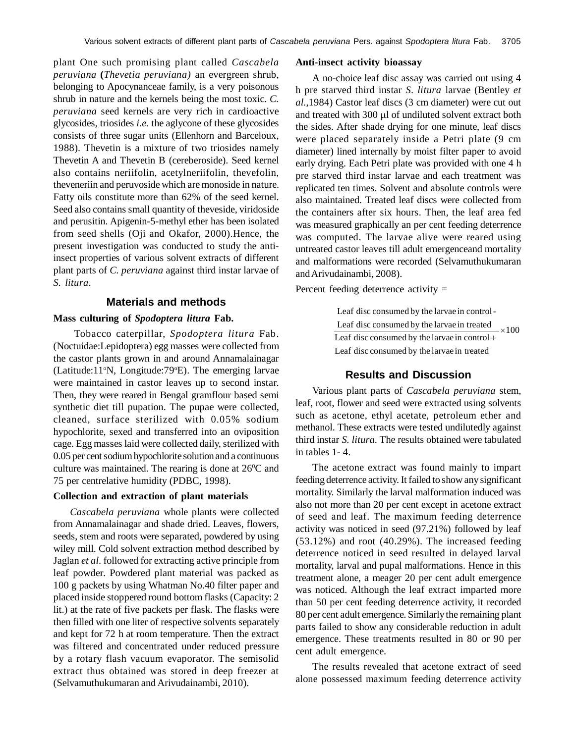plant One such promising plant called *Cascabela peruviana* **(***Thevetia peruviana)* an evergreen shrub, belonging to Apocynanceae family, is a very poisonous shrub in nature and the kernels being the most toxic. *C. peruviana* seed kernels are very rich in cardioactive glycosides, triosides *i.e.* the aglycone of these glycosides consists of three sugar units (Ellenhorn and Barceloux, 1988). Thevetin is a mixture of two triosides namely Thevetin A and Thevetin B (cereberoside). Seed kernel also contains neriifolin, acetylneriifolin, thevefolin, theveneriin and peruvoside which are monoside in nature. Fatty oils constitute more than 62% of the seed kernel. Seed also contains small quantity of theveside, viridoside and perusitin. Apigenin-5-methyl ether has been isolated from seed shells (Oji and Okafor, 2000).Hence, the present investigation was conducted to study the antiinsect properties of various solvent extracts of different plant parts of *C. peruviana* against third instar larvae of *S. litura*.

#### **Materials and methods**

#### **Mass culturing of** *Spodoptera litura* **Fab.**

 Tobacco caterpillar, *Spodoptera litura* Fab. (Noctuidae:Lepidoptera) egg masses were collected from the castor plants grown in and around Annamalainagar (Latitude:11<sup>o</sup>N, Longitude:79<sup>o</sup>E). The emerging larvae were maintained in castor leaves up to second instar. Then, they were reared in Bengal gramflour based semi synthetic diet till pupation. The pupae were collected, cleaned, surface sterilized with 0.05% sodium hypochlorite, sexed and transferred into an oviposition cage. Egg masses laid were collected daily, sterilized with 0.05 per cent sodium hypochlorite solution and a continuous culture was maintained. The rearing is done at  $26^{\circ}$ C and 75 per centrelative humidity (PDBC, 1998).

## **Collection and extraction of plant materials**

*Cascabela peruviana* whole plants were collected from Annamalainagar and shade dried. Leaves, flowers, seeds, stem and roots were separated, powdered by using wiley mill. Cold solvent extraction method described by Jaglan *et al.* followed for extracting active principle from leaf powder. Powdered plant material was packed as 100 g packets by using Whatman No.40 filter paper and placed inside stoppered round bottom flasks (Capacity: 2 lit.) at the rate of five packets per flask. The flasks were then filled with one liter of respective solvents separately and kept for 72 h at room temperature. Then the extract was filtered and concentrated under reduced pressure by a rotary flash vacuum evaporator. The semisolid extract thus obtained was stored in deep freezer at (Selvamuthukumaran and Arivudainambi, 2010).

#### **Anti-insect activity bioassay**

A no-choice leaf disc assay was carried out using 4 h pre starved third instar *S. litura* larvae (Bentley *et al.*,1984) Castor leaf discs (3 cm diameter) were cut out and treated with 300 µl of undiluted solvent extract both the sides. After shade drying for one minute, leaf discs were placed separately inside a Petri plate (9 cm diameter) lined internally by moist filter paper to avoid early drying. Each Petri plate was provided with one 4 h pre starved third instar larvae and each treatment was replicated ten times. Solvent and absolute controls were also maintained. Treated leaf discs were collected from the containers after six hours. Then, the leaf area fed was measured graphically an per cent feeding deterrence was computed. The larvae alive were reared using untreated castor leaves till adult emergenceand mortality and malformations were recorded (Selvamuthukumaran and Arivudainambi, 2008).

Percent feeding deterrence activity =

 $\times$ 100 Leaf disc consumed by the larvae in treated Leaf disc consumed by the larvae in control Leaf disc consumed by the larvae in treated Leaf disc consumed by the larvae in control-

# **Results and Discussion**

Various plant parts of *Cascabela peruviana* stem, leaf, root, flower and seed were extracted using solvents such as acetone, ethyl acetate, petroleum ether and methanol. These extracts were tested undilutedly against third instar *S. litura.* The results obtained were tabulated in tables 1- 4.

The acetone extract was found mainly to impart feeding deterrence activity. It failed to show any significant mortality. Similarly the larval malformation induced was also not more than 20 per cent except in acetone extract of seed and leaf. The maximum feeding deterrence activity was noticed in seed (97.21%) followed by leaf (53.12%) and root (40.29%). The increased feeding deterrence noticed in seed resulted in delayed larval mortality, larval and pupal malformations. Hence in this treatment alone, a meager 20 per cent adult emergence was noticed. Although the leaf extract imparted more than 50 per cent feeding deterrence activity, it recorded 80 per cent adult emergence. Similarly the remaining plant parts failed to show any considerable reduction in adult emergence. These treatments resulted in 80 or 90 per cent adult emergence.

The results revealed that acetone extract of seed alone possessed maximum feeding deterrence activity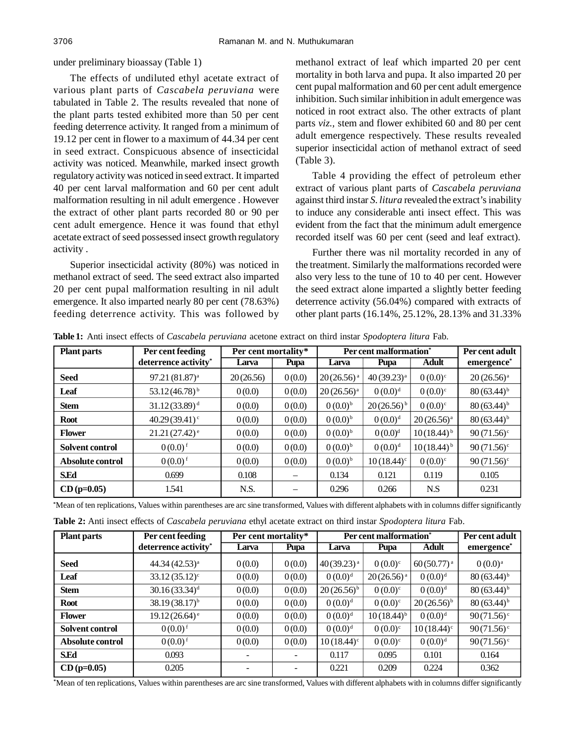# under preliminary bioassay (Table 1)

The effects of undiluted ethyl acetate extract of various plant parts of *Cascabela peruviana* were tabulated in Table 2. The results revealed that none of the plant parts tested exhibited more than 50 per cent feeding deterrence activity. It ranged from a minimum of 19.12 per cent in flower to a maximum of 44.34 per cent in seed extract. Conspicuous absence of insecticidal activity was noticed. Meanwhile, marked insect growth regulatory activity was noticed in seed extract. It imparted 40 per cent larval malformation and 60 per cent adult malformation resulting in nil adult emergence . However the extract of other plant parts recorded 80 or 90 per cent adult emergence. Hence it was found that ethyl acetate extract of seed possessed insect growth regulatory activity .

Superior insecticidal activity (80%) was noticed in methanol extract of seed. The seed extract also imparted 20 per cent pupal malformation resulting in nil adult emergence. It also imparted nearly 80 per cent (78.63%) feeding deterrence activity. This was followed by methanol extract of leaf which imparted 20 per cent mortality in both larva and pupa. It also imparted 20 per cent pupal malformation and 60 per cent adult emergence inhibition. Such similar inhibition in adult emergence was noticed in root extract also. The other extracts of plant parts *viz.,* stem and flower exhibited 60 and 80 per cent adult emergence respectively. These results revealed superior insecticidal action of methanol extract of seed (Table 3).

Table 4 providing the effect of petroleum ether extract of various plant parts of *Cascabela peruviana* against third instar *S. litura* revealed the extract's inability to induce any considerable anti insect effect. This was evident from the fact that the minimum adult emergence recorded itself was 60 per cent (seed and leaf extract).

Further there was nil mortality recorded in any of the treatment. Similarly the malformations recorded were also very less to the tune of 10 to 40 per cent. However the seed extract alone imparted a slightly better feeding deterrence activity (56.04%) compared with extracts of other plant parts (16.14%, 25.12%, 28.13% and 31.33%

**Table 1:** Anti insect effects of *Cascabela peruviana* acetone extract on third instar *Spodoptera litura* Fab*.*

| <b>Plant parts</b> | Per cent feeding            | Per cent mortality* |                          | Per cent malformation <sup>*</sup> |                          |                 | Per cent adult           |
|--------------------|-----------------------------|---------------------|--------------------------|------------------------------------|--------------------------|-----------------|--------------------------|
|                    | deterrence activity*        | Larva               | Pupa                     | Larva                              | Pupa                     | <b>Adult</b>    | emergence <sup>*</sup>   |
| <b>Seed</b>        | $97.21(81.87)^a$            | 20(26.56)           | 0(0.0)                   | $20(26.56)^{a}$                    | $40(39.23)^{a}$          | $0(0.0)^{c}$    | $20(26.56)^a$            |
| Leaf               | $53.12(46.78)^{b}$          | 0(0.0)              | 0(0.0)                   | $20(26.56)^{a}$                    | $0(0.0)^d$               | $0(0.0)^{c}$    | $80(63.44)^{b}$          |
| <b>Stem</b>        | $31.12(33.89)^{d}$          | 0(0.0)              | 0(0.0)                   | $0(0.0)^{b}$                       | $20(26.56)^{b}$          | $0(0.0)^{c}$    | $80(63.44)^{b}$          |
| <b>Root</b>        | $40.29(39.41)$ °            | 0(0.0)              | 0(0.0)                   | $0(0.0)^{b}$                       | 0(0.0) <sup>d</sup>      | $20(26.56)^{a}$ | $80(63.44)^{b}$          |
| <b>Flower</b>      | $21.21(27.42)$ <sup>e</sup> | 0(0.0)              | 0(0.0)                   | $0(0.0)^{b}$                       | 0(0.0) <sup>d</sup>      | $10(18.44)^{b}$ | $90(71.56)$ <sup>c</sup> |
| Solvent control    | $0(0.0)^{f}$                | 0(0.0)              | 0(0.0)                   | $0(0.0)^{b}$                       | $0(0.0)^d$               | $10(18.44)^{b}$ | $90(71.56)$ <sup>c</sup> |
| Absolute control   | $0(0.0)^{f}$                | 0(0.0)              | 0(0.0)                   | $0(0.0)^{b}$                       | $10(18.44)$ <sup>c</sup> | $0(0.0)^{c}$    | $90(71.56)$ <sup>c</sup> |
| <b>S.Ed</b>        | 0.699                       | 0.108               | $\overline{\phantom{m}}$ | 0.134                              | 0.121                    | 0.119           | 0.105                    |
| $CD (p=0.05)$      | 1.541                       | N.S.                |                          | 0.296                              | 0.266                    | N.S             | 0.231                    |

| Mean of ten replications. Values within parentheses are arc sine transformed. Values with different alphabets with in columns differ significantly |  |  |
|----------------------------------------------------------------------------------------------------------------------------------------------------|--|--|
|----------------------------------------------------------------------------------------------------------------------------------------------------|--|--|

**Table 2:** Anti insect effects of *Cascabela peruviana* ethyl acetate extract on third instar *Spodoptera litura* Fab.

| <b>Plant parts</b>     | Per cent feeding                 | Per cent mortality* |        | Per cent malformation <sup>*</sup> |                 |                          | Per cent adult           |
|------------------------|----------------------------------|---------------------|--------|------------------------------------|-----------------|--------------------------|--------------------------|
|                        | deterrence activity <sup>*</sup> | Larva               | Pupa   | Larva                              | Pupa            | <b>Adult</b>             | emergence*               |
| <b>Seed</b>            | 44.34 (42.53) <sup>a</sup>       | 0(0.0)              | 0(0.0) | $40(39.23)^{a}$                    | $0(0.0)^{c}$    | $60(50.77)^{a}$          | $0(0.0)^{a}$             |
| Leaf                   | $33.12(35.12)^c$                 | 0(0.0)              | 0(0.0) | $0(0.0)^d$                         | $20(26.56)^{a}$ | $0(0.0)^d$               | $80(63.44)^{b}$          |
| <b>Stem</b>            | $30.16(33.34)$ <sup>d</sup>      | 0(0.0)              | 0(0.0) | $20(26.56)^{b}$                    | $0(0.0)^{c}$    | $0(0.0)^d$               | $80(63.44)^{b}$          |
| <b>Root</b>            | $38.19(38.17)^{b}$               | 0(0.0)              | 0(0.0) | $0(0.0)^d$                         | $0(0.0)^{c}$    | $20(26.56)^{b}$          | $80(63.44)^{b}$          |
| <b>Flower</b>          | $19.12(26.64)$ <sup>e</sup>      | 0(0.0)              | 0(0.0) | $0(0.0)^d$                         | $10(18.44)^{b}$ | $0(0.0)^d$               | $90(71.56)$ <sup>c</sup> |
| <b>Solvent control</b> | $0(0.0)$ <sup>f</sup>            | 0(0.0)              | 0(0.0) | $0(0.0)^d$                         | $0(0.0)^{c}$    | $10(18.44)$ <sup>c</sup> | $90(71.56)$ <sup>c</sup> |
| Absolute control       | $0(0.0)^{f}$                     | 0(0.0)              | 0(0.0) | $10(18.44)^c$                      | $0(0.0)^{c}$    | $0(0.0)^d$               | $90(71.56)$ <sup>c</sup> |
| <b>S.Ed</b>            | 0.093                            |                     |        | 0.117                              | 0.095           | 0.101                    | 0.164                    |
| $CD (p=0.05)$          | 0.205                            |                     |        | 0.221                              | 0.209           | 0.224                    | 0.362                    |

**\***Mean of ten replications, Values within parentheses are arc sine transformed, Values with different alphabets with in columns differ significantly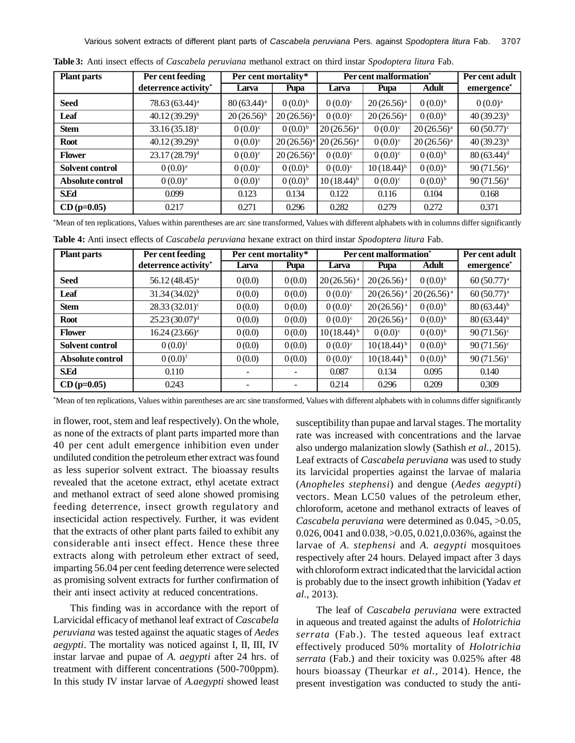Various solvent extracts of different plant parts of *Cascabela peruviana* Pers. against *Spodoptera litura* Fab. 3707

| <b>Plant parts</b> | Per cent feeding                 | Per cent mortality*      |                 | Per cent malformation <sup>*</sup> |                 |                 | Per cent adult           |
|--------------------|----------------------------------|--------------------------|-----------------|------------------------------------|-----------------|-----------------|--------------------------|
|                    | deterrence activity <sup>*</sup> | Larva                    | Pupa            | Larva                              | Pupa            | Adult           | emergence*               |
| <b>Seed</b>        | $78.63(63.44)^a$                 | $80(63.44)$ <sup>a</sup> | $0(0.0)^{b}$    | $0(0.0)^{c}$                       | $20(26.56)^{a}$ | $0(0.0)^{b}$    | $0(0.0)$ <sup>a</sup>    |
| Leaf               | $40.12(39.29)^{b}$               | $20(26.56)^{b}$          | $20(26.56)^{a}$ | $0(0.0)^{c}$                       | $20(26.56)^a$   | $0(0.0)^{b}$    | $40(39.23)^{b}$          |
| <b>Stem</b>        | $33.16(35.18)$ <sup>c</sup>      | $0(0.0)^{c}$             | $0(0.0)^{b}$    | $20(26.56)^{a}$                    | $0(0.0)^{c}$    | $20(26.56)^{a}$ | $60(50.77)^c$            |
| <b>Root</b>        | $40.12(39.29)^{b}$               | $0(0.0)^{c}$             | $20(26.56)^{a}$ | $20(26.56)^{a}$                    | $0(0.0)^{c}$    | $20(26.56)^{a}$ | $40(39.23)^{b}$          |
| <b>Flower</b>      | $23.17(28.79)^{d}$               | $0(0.0)^{c}$             | $20(26.56)^{a}$ | $0(0.0)^{c}$                       | $0(0.0)^{c}$    | $0(0.0)^{b}$    | $80(63.44)$ <sup>d</sup> |
| Solvent control    | $0(0.0)^{e}$                     | $0(0.0)^{c}$             | $0(0.0)^{b}$    | $0(0.0)^{c}$                       | $10(18.44)^{b}$ | $0(0.0)^{b}$    | $90(71.56)$ <sup>e</sup> |
| Absolute control   | $0(0.0)^{e}$                     | $0(0.0)^{c}$             | $0(0.0)^{b}$    | $10(18.44)^{b}$                    | $0(0.0)^{c}$    | $0(0.0)^{b}$    | $90(71.56)$ <sup>e</sup> |
| <b>S.Ed</b>        | 0.099                            | 0.123                    | 0.134           | 0.122                              | 0.116           | 0.104           | 0.168                    |
| $CD (p=0.05)$      | 0.217                            | 0.271                    | 0.296           | 0.282                              | 0.279           | 0.272           | 0.371                    |

**Table 3:** Anti insect effects of *Cascabela peruviana* methanol extract on third instar *Spodoptera litura* Fab.

**\***Mean of ten replications, Values within parentheses are arc sine transformed, Values with different alphabets with in columns differ significantly

**Table 4:** Anti insect effects of *Cascabela peruviana* hexane extract on third instar *Spodoptera litura* Fab.

| <b>Plant parts</b> | Per cent feeding            | Per cent mortality* |        | Per cent malformation <sup>*</sup> |                 |                 | Per cent adult           |
|--------------------|-----------------------------|---------------------|--------|------------------------------------|-----------------|-----------------|--------------------------|
|                    | deterrence activity*        | Larva               | Pupa   | Larva                              | Pupa            | <b>Adult</b>    | emergence <sup>*</sup>   |
| <b>Seed</b>        | 56.12 (48.45) <sup>a</sup>  | 0(0.0)              | 0(0.0) | $20(26.56)^{a}$                    | $20(26.56)^{a}$ | $0(0.0)^{b}$    | $60(50.77)^{a}$          |
| Leaf               | $31.34(34.02)^{b}$          | 0(0.0)              | 0(0.0) | $0(0.0)^{c}$                       | $20(26.56)^{a}$ | $20(26.56)^{a}$ | $60(50.77)^{a}$          |
| <b>Stem</b>        | $28.33(32.01)^c$            | 0(0.0)              | 0(0.0) | $0(0.0)^{c}$                       | $20(26.56)^{a}$ | $0(0.0)^{b}$    | $80(63.44)^{b}$          |
| <b>Root</b>        | 25.23(30.07) <sup>d</sup>   | 0(0.0)              | 0(0.0) | $0(0.0)^{c}$                       | $20(26.56)^{a}$ | $0(0.0)^{b}$    | $80(63.44)^{b}$          |
| <b>Flower</b>      | $16.24(23.66)$ <sup>e</sup> | 0(0.0)              | 0(0.0) | $10(18.44)^{b}$                    | $0(0.0)^{c}$    | $0(0.0)^{b}$    | $90(71.56)$ <sup>c</sup> |
| Solvent control    | $0(0.0)^{f}$                | 0(0.0)              | 0(0.0) | $0(0.0)^{c}$                       | $10(18.44)^{b}$ | $0(0.0)^{b}$    | $90(71.56)$ <sup>c</sup> |
| Absolute control   | $(0.0)^{f}$                 | 0(0.0)              | 0(0.0) | $0(0.0)^{c}$                       | $10(18.44)^{b}$ | $0(0.0)^{b}$    | $90(71.56)$ <sup>c</sup> |
| <b>S.Ed</b>        | 0.110                       |                     |        | 0.087                              | 0.134           | 0.095           | 0.140                    |
| $CD (p=0.05)$      | 0.243                       |                     |        | 0.214                              | 0.296           | 0.209           | 0.309                    |

**\***Mean of ten replications, Values within parentheses are arc sine transformed, Values with different alphabets with in columns differ significantly

in flower, root, stem and leaf respectively). On the whole, as none of the extracts of plant parts imparted more than 40 per cent adult emergence inhibition even under undiluted condition the petroleum ether extract was found as less superior solvent extract. The bioassay results revealed that the acetone extract, ethyl acetate extract and methanol extract of seed alone showed promising feeding deterrence, insect growth regulatory and insecticidal action respectively. Further, it was evident that the extracts of other plant parts failed to exhibit any considerable anti insect effect. Hence these three extracts along with petroleum ether extract of seed, imparting 56.04 per cent feeding deterrence were selected as promising solvent extracts for further confirmation of their anti insect activity at reduced concentrations.

This finding was in accordance with the report of Larvicidal efficacy of methanol leaf extract of *Cascabela peruviana* was tested against the aquatic stages of *Aedes aegypti*. The mortality was noticed against I, II, III, IV instar larvae and pupae of *A. aegypti* after 24 hrs. of treatment with different concentrations (500-700ppm). In this study IV instar larvae of *A.aegypti* showed least

susceptibility than pupae and larval stages. The mortality rate was increased with concentrations and the larvae also undergo malanization slowly (Sathish *et al.,* 2015). Leaf extracts of *Cascabela peruviana* was used to study its larvicidal properties against the larvae of malaria (*Anopheles stephensi*) and dengue (*Aedes aegypti*) vectors. Mean LC50 values of the petroleum ether, chloroform, acetone and methanol extracts of leaves of *Cascabela peruviana* were determined as 0.045, >0.05, 0.026, 0041 and 0.038, >0.05, 0.021,0.036%, against the larvae of *A. stephensi* and *A. aegypti* mosquitoes respectively after 24 hours. Delayed impact after 3 days with chloroform extract indicated that the larvicidal action is probably due to the insect growth inhibition (Yadav *et al.,* 2013).

 The leaf of *Cascabela peruviana* were extracted in aqueous and treated against the adults of *Holotrichia serrata* (Fab.). The tested aqueous leaf extract effectively produced 50% mortality of *Holotrichia serrata* (Fab.) and their toxicity was 0.025% after 48 hours bioassay (Theurkar *et al.,* 2014). Hence, the present investigation was conducted to study the anti